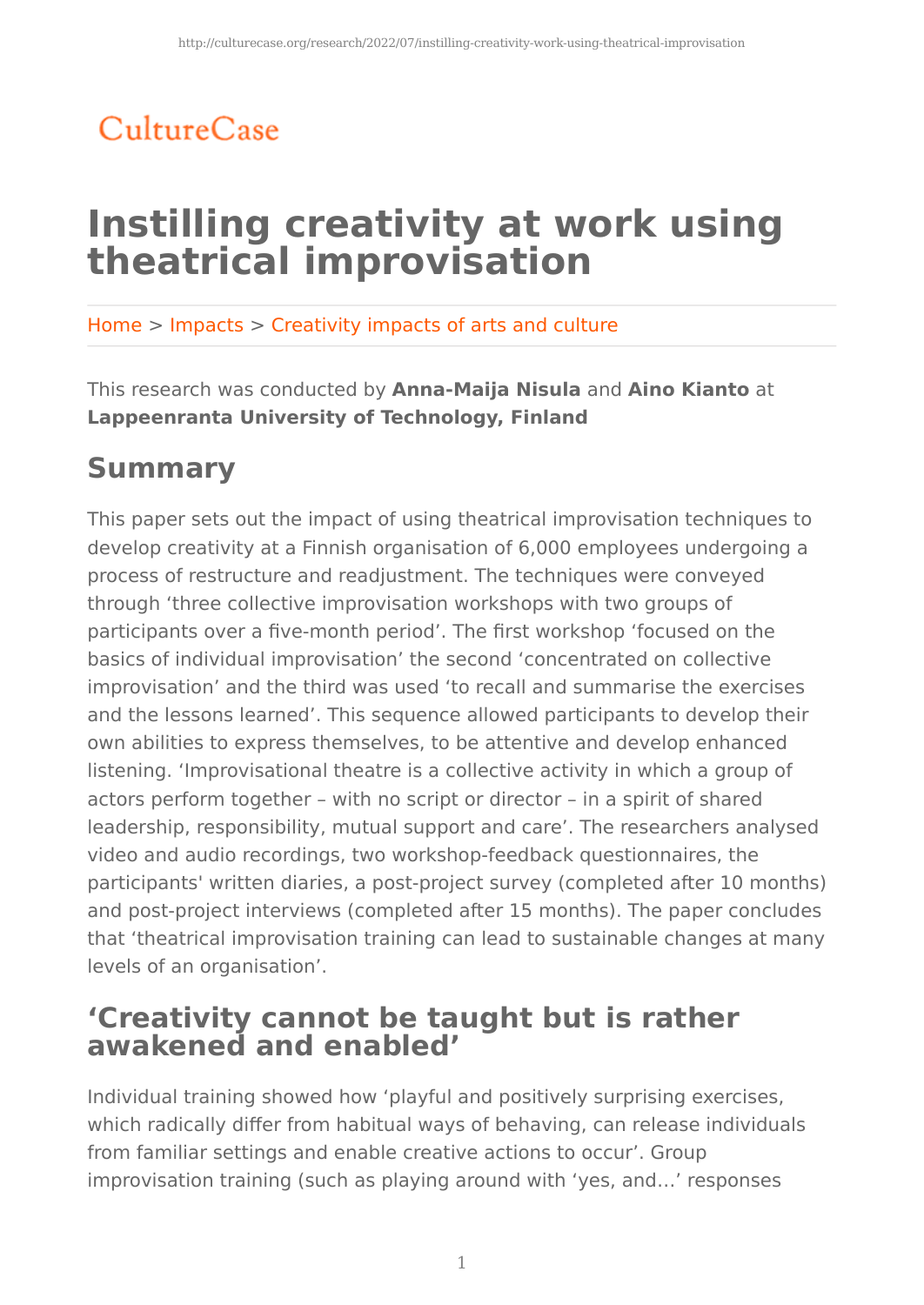## CultureCase

# **Instilling creativity at work using theatrical improvisation**

Home > Impacts > Creativity impacts of arts and culture

This research was conducted by **Anna-Maija Nisula** and **Aino Kianto** at **Lappeenranta University of Technology, Finland**

## **Summary**

This paper sets out the impact of using theatrical improvisation techniques to develop creativity at a Finnish organisation of 6,000 employees undergoing a process of restructure and readjustment. The techniques were conveyed through 'three collective improvisation workshops with two groups of participants over a five-month period'. The first workshop 'focused on the basics of individual improvisation' the second 'concentrated on collective improvisation' and the third was used 'to recall and summarise the exercises and the lessons learned'. This sequence allowed participants to develop their own abilities to express themselves, to be attentive and develop enhanced listening. 'Improvisational theatre is a collective activity in which a group of actors perform together – with no script or director – in a spirit of shared leadership, responsibility, mutual support and care'. The researchers analysed video and audio recordings, two workshop-feedback questionnaires, the participants' written diaries, a post-project survey (completed after 10 months) and post-project interviews (completed after 15 months). The paper concludes that 'theatrical improvisation training can lead to sustainable changes at many levels of an organisation'.

## **'Creativity cannot be taught but is rather awakened and enabled'**

Individual training showed how 'playful and positively surprising exercises, which radically differ from habitual ways of behaving, can release individuals from familiar settings and enable creative actions to occur'. Group improvisation training (such as playing around with 'yes, and…' responses